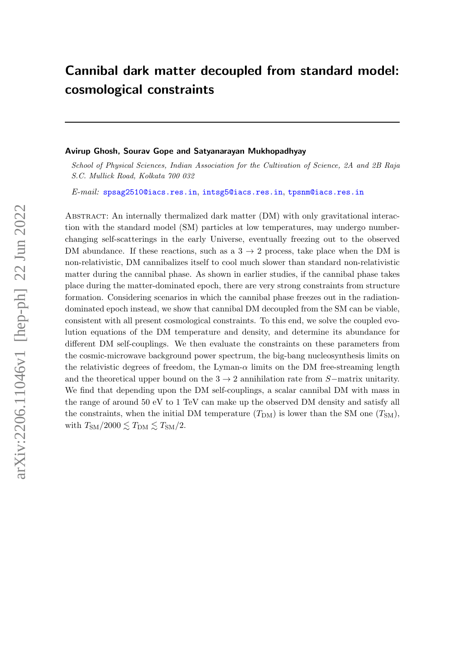# Cannibal dark matter decoupled from standard model: cosmological constraints

## Avirup Ghosh, Sourav Gope and Satyanarayan Mukhopadhyay

School of Physical Sciences, Indian Association for the Cultivation of Science, 2A and 2B Raja S.C. Mullick Road, Kolkata 700 032

E-mail: [spsag2510@iacs.res.in](mailto:spsag2510@iacs.res.in), [intsg5@iacs.res.in](mailto:intsg5@iacs.res.in), [tpsnm@iacs.res.in](mailto:tpsnm@iacs.res.in)

Abstract: An internally thermalized dark matter (DM) with only gravitational interaction with the standard model (SM) particles at low temperatures, may undergo numberchanging self-scatterings in the early Universe, eventually freezing out to the observed DM abundance. If these reactions, such as a  $3 \rightarrow 2$  process, take place when the DM is non-relativistic, DM cannibalizes itself to cool much slower than standard non-relativistic matter during the cannibal phase. As shown in earlier studies, if the cannibal phase takes place during the matter-dominated epoch, there are very strong constraints from structure formation. Considering scenarios in which the cannibal phase freezes out in the radiationdominated epoch instead, we show that cannibal DM decoupled from the SM can be viable, consistent with all present cosmological constraints. To this end, we solve the coupled evolution equations of the DM temperature and density, and determine its abundance for different DM self-couplings. We then evaluate the constraints on these parameters from the cosmic-microwave background power spectrum, the big-bang nucleosynthesis limits on the relativistic degrees of freedom, the Lyman- $\alpha$  limits on the DM free-streaming length and the theoretical upper bound on the  $3 \rightarrow 2$  annihilation rate from S−matrix unitarity. We find that depending upon the DM self-couplings, a scalar cannibal DM with mass in the range of around 50 eV to 1 TeV can make up the observed DM density and satisfy all the constraints, when the initial DM temperature  $(T_{DM})$  is lower than the SM one  $(T_{SM})$ , with  $T_{\text{SM}}/2000 \lesssim T_{\text{DM}} \lesssim T_{\text{SM}}/2$ .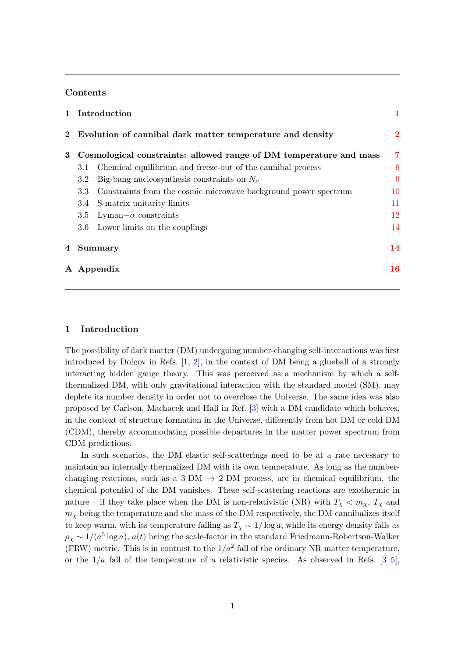## Contents

|   |                                                             | 1 Introduction                                                     |          |
|---|-------------------------------------------------------------|--------------------------------------------------------------------|----------|
|   | 2 Evolution of cannibal dark matter temperature and density |                                                                    | $\bf{2}$ |
| 3 |                                                             | Cosmological constraints: allowed range of DM temperature and mass | 7        |
|   | 3.1                                                         | Chemical equilibrium and freeze-out of the cannibal process        | 9        |
|   | $3.2^{\circ}$                                               | Big-bang nucleosynthesis constraints on $N_{\nu}$                  | 9        |
|   | 3.3                                                         | Constraints from the cosmic microwave background power spectrum    | 10       |
|   | 3.4                                                         | S-matrix unitarity limits                                          | 11       |
|   | $3.5\,$                                                     | Lyman $-\alpha$ constraints                                        | 12       |
|   |                                                             | 3.6 Lower limits on the couplings                                  | 14       |
| 4 | Summary                                                     |                                                                    | 14       |
|   | A Appendix                                                  |                                                                    | 16       |

# <span id="page-1-0"></span>1 Introduction

The possibility of dark matter (DM) undergoing number-changing self-interactions was first introduced by Dolgov in Refs. [\[1,](#page-17-0) [2\]](#page-17-1), in the context of DM being a glueball of a strongly interacting hidden gauge theory. This was perceived as a mechanism by which a selfthermalized DM, with only gravitational interaction with the standard model (SM), may deplete its number density in order not to overclose the Universe. The same idea was also proposed by Carlson, Machacek and Hall in Ref. [\[3\]](#page-17-2) with a DM candidate which behaves, in the context of structure formation in the Universe, differently from hot DM or cold DM (CDM), thereby accommodating possible departures in the matter power spectrum from CDM predictions.

In such scenarios, the DM elastic self-scatterings need to be at a rate necessary to maintain an internally thermalized DM with its own temperature. As long as the numberchanging reactions, such as a 3 DM  $\rightarrow$  2 DM process, are in chemical equilibrium, the chemical potential of the DM vanishes. These self-scattering reactions are exothermic in nature – if they take place when the DM is non-relativistic (NR) with  $T_{\chi} < m_{\chi}$ ,  $T_{\chi}$  and  $m<sub>x</sub>$  being the temperature and the mass of the DM respectively, the DM cannibalizes itself to keep warm, with its temperature falling as  $T_x \sim 1/\log a$ , while its energy density falls as  $\rho_{\chi} \sim 1/(a^3 \log a)$ ,  $a(t)$  being the scale-factor in the standard Friedmann-Robertson-Walker (FRW) metric. This is in contrast to the  $1/a^2$  fall of the ordinary NR matter temperature, or the  $1/a$  fall of the temperature of a relativistic species. As observed in Refs. [\[3–](#page-17-2)[5\]](#page-17-3),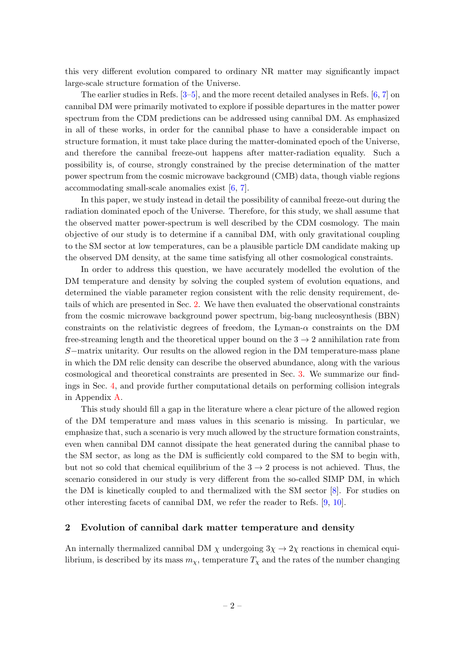this very different evolution compared to ordinary NR matter may significantly impact large-scale structure formation of the Universe.

The earlier studies in Refs. [\[3](#page-17-2)[–5\]](#page-17-3), and the more recent detailed analyses in Refs. [\[6,](#page-17-4) [7\]](#page-17-5) on cannibal DM were primarily motivated to explore if possible departures in the matter power spectrum from the CDM predictions can be addressed using cannibal DM. As emphasized in all of these works, in order for the cannibal phase to have a considerable impact on structure formation, it must take place during the matter-dominated epoch of the Universe, and therefore the cannibal freeze-out happens after matter-radiation equality. Such a possibility is, of course, strongly constrained by the precise determination of the matter power spectrum from the cosmic microwave background (CMB) data, though viable regions accommodating small-scale anomalies exist [\[6,](#page-17-4) [7\]](#page-17-5).

In this paper, we study instead in detail the possibility of cannibal freeze-out during the radiation dominated epoch of the Universe. Therefore, for this study, we shall assume that the observed matter power-spectrum is well described by the CDM cosmology. The main objective of our study is to determine if a cannibal DM, with only gravitational coupling to the SM sector at low temperatures, can be a plausible particle DM candidate making up the observed DM density, at the same time satisfying all other cosmological constraints.

In order to address this question, we have accurately modelled the evolution of the DM temperature and density by solving the coupled system of evolution equations, and determined the viable parameter region consistent with the relic density requirement, details of which are presented in Sec. [2.](#page-2-0) We have then evaluated the observational constraints from the cosmic microwave background power spectrum, big-bang nucleosynthesis (BBN) constraints on the relativistic degrees of freedom, the Lyman- $\alpha$  constraints on the DM free-streaming length and the theoretical upper bound on the  $3 \rightarrow 2$  annihilation rate from S−matrix unitarity. Our results on the allowed region in the DM temperature-mass plane in which the DM relic density can describe the observed abundance, along with the various cosmological and theoretical constraints are presented in Sec. [3.](#page-7-0) We summarize our findings in Sec. [4,](#page-14-1) and provide further computational details on performing collision integrals in Appendix [A.](#page-16-0)

This study should fill a gap in the literature where a clear picture of the allowed region of the DM temperature and mass values in this scenario is missing. In particular, we emphasize that, such a scenario is very much allowed by the structure formation constraints, even when cannibal DM cannot dissipate the heat generated during the cannibal phase to the SM sector, as long as the DM is sufficiently cold compared to the SM to begin with, but not so cold that chemical equilibrium of the  $3 \rightarrow 2$  process is not achieved. Thus, the scenario considered in our study is very different from the so-called SIMP DM, in which the DM is kinetically coupled to and thermalized with the SM sector [\[8\]](#page-17-6). For studies on other interesting facets of cannibal DM, we refer the reader to Refs. [\[9,](#page-17-7) [10\]](#page-17-8).

## <span id="page-2-0"></span>2 Evolution of cannibal dark matter temperature and density

An internally thermalized cannibal DM  $\chi$  undergoing  $3\chi \rightarrow 2\chi$  reactions in chemical equilibrium, is described by its mass  $m<sub>\chi</sub>$ , temperature  $T<sub>\chi</sub>$  and the rates of the number changing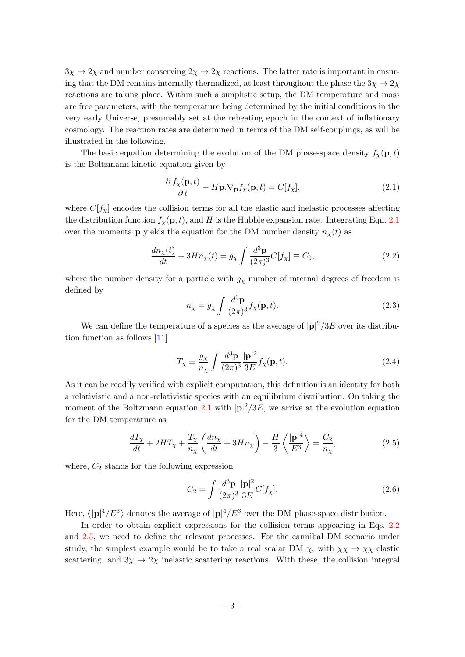$3\chi \rightarrow 2\chi$  and number conserving  $2\chi \rightarrow 2\chi$  reactions. The latter rate is important in ensuring that the DM remains internally thermalized, at least throughout the phase the  $3\chi \rightarrow 2\chi$ reactions are taking place. Within such a simplistic setup, the DM temperature and mass are free parameters, with the temperature being determined by the initial conditions in the very early Universe, presumably set at the reheating epoch in the context of inflationary cosmology. The reaction rates are determined in terms of the DM self-couplings, as will be illustrated in the following.

The basic equation determining the evolution of the DM phase-space density  $f_{\mathbf{x}}(\mathbf{p}, t)$ is the Boltzmann kinetic equation given by

<span id="page-3-0"></span>
$$
\frac{\partial f_{\chi}(\mathbf{p},t)}{\partial t} - H\mathbf{p}.\nabla_{\mathbf{p}}f_{\chi}(\mathbf{p},t) = C[f_{\chi}],\tag{2.1}
$$

where  $C[f_{\chi}]$  encodes the collision terms for all the elastic and inelastic processes affecting the distribution function  $f_{\chi}(\mathbf{p}, t)$ , and H is the Hubble expansion rate. Integrating Eqn. [2.1](#page-3-0) over the momenta **p** yields the equation for the DM number density  $n_{\chi}(t)$  as

<span id="page-3-1"></span>
$$
\frac{dn_{\chi}(t)}{dt} + 3Hn_{\chi}(t) = g_{\chi} \int \frac{d^3 \mathbf{p}}{(2\pi)^3} C[f_{\chi}] \equiv C_0,
$$
\n(2.2)

where the number density for a particle with  $g_{\chi}$  number of internal degrees of freedom is defined by

$$
n_{\chi} = g_{\chi} \int \frac{d^3 \mathbf{p}}{(2\pi)^3} f_{\chi}(\mathbf{p}, t). \tag{2.3}
$$

We can define the temperature of a species as the average of  $|{\bf p}|^2/3E$  over its distribution function as follows [\[11\]](#page-17-9)

$$
T_{\chi} \equiv \frac{g_{\chi}}{n_{\chi}} \int \frac{d^3 \mathbf{p}}{(2\pi)^3} \frac{|\mathbf{p}|^2}{3E} f_{\chi}(\mathbf{p}, t). \tag{2.4}
$$

As it can be readily verified with explicit computation, this definition is an identity for both a relativistic and a non-relativistic species with an equilibrium distribution. On taking the moment of the Boltzmann equation [2.1](#page-3-0) with  $|p|^2/3E$ , we arrive at the evolution equation for the DM temperature as

<span id="page-3-2"></span>
$$
\frac{dT_{\chi}}{dt} + 2HT_{\chi} + \frac{T_{\chi}}{n_{\chi}} \left( \frac{dn_{\chi}}{dt} + 3Hn_{\chi} \right) - \frac{H}{3} \left\langle \frac{|\mathbf{p}|^4}{E^3} \right\rangle = \frac{C_2}{n_{\chi}},\tag{2.5}
$$

where,  $C_2$  stands for the following expression

$$
C_2 = \int \frac{d^3 \mathbf{p}}{(2\pi)^3} \frac{|\mathbf{p}|^2}{3E} C[f_\chi].
$$
 (2.6)

Here,  $\langle |{\bf p}|^4/E^3 \rangle$  denotes the average of  $|{\bf p}|^4/E^3$  over the DM phase-space distribution.

In order to obtain explicit expressions for the collision terms appearing in Eqs. [2.2](#page-3-1) and [2.5,](#page-3-2) we need to define the relevant processes. For the cannibal DM scenario under study, the simplest example would be to take a real scalar DM  $\chi$ , with  $\chi \chi \to \chi \chi$  elastic scattering, and  $3\chi \rightarrow 2\chi$  inelastic scattering reactions. With these, the collision integral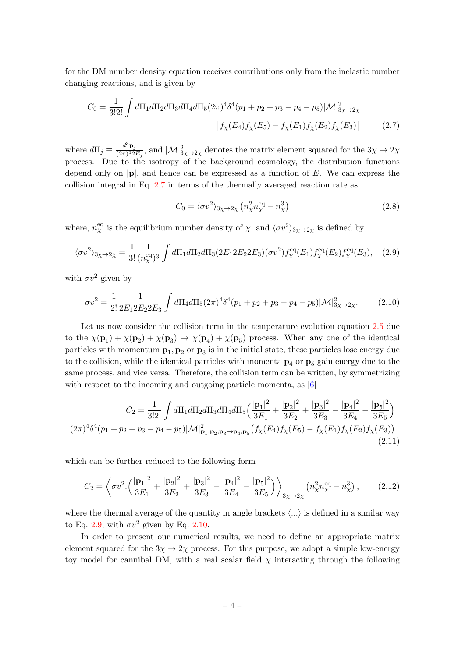for the DM number density equation receives contributions only from the inelastic number changing reactions, and is given by

$$
C_0 = \frac{1}{3!2!} \int d\Pi_1 d\Pi_2 d\Pi_3 d\Pi_4 d\Pi_5 (2\pi)^4 \delta^4(p_1 + p_2 + p_3 - p_4 - p_5) |\mathcal{M}|^2_{3\chi \to 2\chi}
$$

$$
\left[ f_\chi(E_4) f_\chi(E_5) - f_\chi(E_1) f_\chi(E_2) f_\chi(E_3) \right] \tag{2.7}
$$

where  $d\Pi_j \equiv \frac{d^3 \mathbf{p}_j}{(2\pi)^3 2}$  $\frac{d^2 \mathbf{p}_j}{(2\pi)^3 2E_j}$ , and  $|\mathcal{M}|^2_{3\chi\to 2\chi}$  denotes the matrix element squared for the  $3\chi\to 2\chi$ process. Due to the isotropy of the background cosmology, the distribution functions depend only on  $|\mathbf{p}|$ , and hence can be expressed as a function of E. We can express the collision integral in Eq. [2.7](#page-4-0) in terms of the thermally averaged reaction rate as

<span id="page-4-2"></span><span id="page-4-1"></span><span id="page-4-0"></span>
$$
C_0 = \langle \sigma v^2 \rangle_{3\chi \to 2\chi} \left( n_\chi^2 n_\chi^{\text{eq}} - n_\chi^3 \right) \tag{2.8}
$$

where,  $n_{\chi}^{\text{eq}}$  is the equilibrium number density of  $\chi$ , and  $\langle \sigma v^2 \rangle_{3\chi \to 2\chi}$  is defined by

$$
\langle \sigma v^2 \rangle_{3\chi \to 2\chi} = \frac{1}{3!} \frac{1}{(n_{\chi}^{\text{eq}})^3} \int d\Pi_1 d\Pi_2 d\Pi_3 (2E_1 2E_2 2E_3) (\sigma v^2) f_{\chi}^{\text{eq}}(E_1) f_{\chi}^{\text{eq}}(E_2) f_{\chi}^{\text{eq}}(E_3), \quad (2.9)
$$

with  $\sigma v^2$  given by

$$
\sigma v^2 = \frac{1}{2!} \frac{1}{2E_1 2E_2 2E_3} \int d\Pi_4 d\Pi_5 (2\pi)^4 \delta^4(p_1 + p_2 + p_3 - p_4 - p_5) |\mathcal{M}|^2_{3\chi \to 2\chi}.
$$
 (2.10)

Let us now consider the collision term in the temperature evolution equation [2.5](#page-3-2) due to the  $\chi(\mathbf{p}_1) + \chi(\mathbf{p}_2) + \chi(\mathbf{p}_3) \to \chi(\mathbf{p}_4) + \chi(\mathbf{p}_5)$  process. When any one of the identical particles with momentum  $\mathbf{p}_1, \mathbf{p}_2$  or  $\mathbf{p}_3$  is in the initial state, these particles lose energy due to the collision, while the identical particles with momenta  $p_4$  or  $p_5$  gain energy due to the same process, and vice versa. Therefore, the collision term can be written, by symmetrizing with respect to the incoming and outgoing particle momenta, as [\[6\]](#page-17-4)

$$
C_2 = \frac{1}{3!2!} \int d\Pi_1 d\Pi_2 d\Pi_3 d\Pi_4 d\Pi_5 \left( \frac{|\mathbf{p}_1|^2}{3E_1} + \frac{|\mathbf{p}_2|^2}{3E_2} + \frac{|\mathbf{p}_3|^2}{3E_3} - \frac{|\mathbf{p}_4|^2}{3E_4} - \frac{|\mathbf{p}_5|^2}{3E_5} \right)
$$
  

$$
(2\pi)^4 \delta^4(p_1 + p_2 + p_3 - p_4 - p_5) |\mathcal{M}|^2_{\mathbf{p}_1, \mathbf{p}_2, \mathbf{p}_3 \to \mathbf{p}_4, \mathbf{p}_5} (f_\chi(E_4) f_\chi(E_5) - f_\chi(E_1) f_\chi(E_2) f_\chi(E_3))
$$
\n(2.11)

which can be further reduced to the following form

<span id="page-4-3"></span>
$$
C_2 = \left\langle \sigma v^2 \cdot \left( \frac{|\mathbf{p}_1|^2}{3E_1} + \frac{|\mathbf{p}_2|^2}{3E_2} + \frac{|\mathbf{p}_3|^2}{3E_3} - \frac{|\mathbf{p}_4|^2}{3E_4} - \frac{|\mathbf{p}_5|^2}{3E_5} \right) \right\rangle_{3\chi \to 2\chi} \left( n_\chi^2 n_\chi^{\text{eq}} - n_\chi^3 \right),\tag{2.12}
$$

where the thermal average of the quantity in angle brackets  $\langle ... \rangle$  is defined in a similar way to Eq. [2.9,](#page-4-1) with  $\sigma v^2$  given by Eq. [2.10.](#page-4-2)

In order to present our numerical results, we need to define an appropriate matrix element squared for the  $3\chi \rightarrow 2\chi$  process. For this purpose, we adopt a simple low-energy toy model for cannibal DM, with a real scalar field  $\chi$  interacting through the following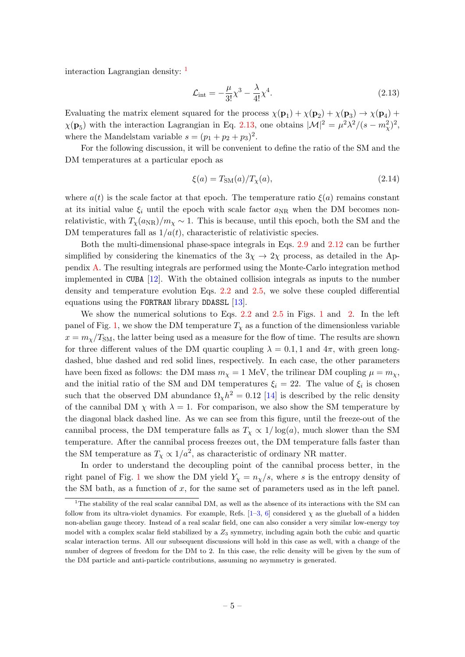interaction Lagrangian density: <sup>[1](#page-5-0)</sup>

<span id="page-5-1"></span>
$$
\mathcal{L}_{\text{int}} = -\frac{\mu}{3!} \chi^3 - \frac{\lambda}{4!} \chi^4. \tag{2.13}
$$

Evaluating the matrix element squared for the process  $\chi(\mathbf{p}_1) + \chi(\mathbf{p}_2) + \chi(\mathbf{p}_3) \to \chi(\mathbf{p}_4) +$  $\chi(\mathbf{p}_5)$  with the interaction Lagrangian in Eq. [2.13,](#page-5-1) one obtains  $|\mathcal{M}|^2 = \mu^2 \lambda^2/(s - m_\chi^2)^2$ , where the Mandelstam variable  $s = (p_1 + p_2 + p_3)^2$ .

For the following discussion, it will be convenient to define the ratio of the SM and the DM temperatures at a particular epoch as

$$
\xi(a) = T_{\text{SM}}(a) / T_{\chi}(a),\tag{2.14}
$$

where  $a(t)$  is the scale factor at that epoch. The temperature ratio  $\xi(a)$  remains constant at its initial value  $\xi_i$  until the epoch with scale factor  $a_{NR}$  when the DM becomes nonrelativistic, with  $T_{\chi}(a_{\rm NR})/m_{\chi} \sim 1$ . This is because, until this epoch, both the SM and the DM temperatures fall as  $1/a(t)$ , characteristic of relativistic species.

Both the multi-dimensional phase-space integrals in Eqs. [2.9](#page-4-1) and [2.12](#page-4-3) can be further simplified by considering the kinematics of the  $3\chi \rightarrow 2\chi$  process, as detailed in the Appendix [A.](#page-16-0) The resulting integrals are performed using the Monte-Carlo integration method implemented in CUBA [\[12\]](#page-18-0). With the obtained collision integrals as inputs to the number density and temperature evolution Eqs. [2.2](#page-3-1) and [2.5,](#page-3-2) we solve these coupled differential equations using the FORTRAN library DDASSL [\[13\]](#page-18-1).

We show the numerical solutions to Eqs. [2.2](#page-3-1) and [2.5](#page-3-2) in Figs. [1](#page-6-0) and [2.](#page-7-1) In the left panel of Fig. [1,](#page-6-0) we show the DM temperature  $T<sub>\chi</sub>$  as a function of the dimensionless variable  $x = m<sub>x</sub>/T<sub>SM</sub>$ , the latter being used as a measure for the flow of time. The results are shown for three different values of the DM quartic coupling  $\lambda = 0.1, 1$  and  $4\pi$ , with green longdashed, blue dashed and red solid lines, respectively. In each case, the other parameters have been fixed as follows: the DM mass  $m<sub>\chi</sub> = 1$  MeV, the trilinear DM coupling  $\mu = m<sub>\chi</sub>$ , and the initial ratio of the SM and DM temperatures  $\xi_i = 22$ . The value of  $\xi_i$  is chosen such that the observed DM abundance  $\Omega_{\chi} h^2 = 0.12$  [\[14\]](#page-18-2) is described by the relic density of the cannibal DM  $\chi$  with  $\lambda = 1$ . For comparison, we also show the SM temperature by the diagonal black dashed line. As we can see from this figure, until the freeze-out of the cannibal process, the DM temperature falls as  $T<sub>x</sub> \propto 1/\log(a)$ , much slower than the SM temperature. After the cannibal process freezes out, the DM temperature falls faster than the SM temperature as  $T_{\chi} \propto 1/a^2$ , as characteristic of ordinary NR matter.

In order to understand the decoupling point of the cannibal process better, in the right panel of Fig. [1](#page-6-0) we show the DM yield  $Y_\chi = n_\chi/s$ , where s is the entropy density of the SM bath, as a function of  $x$ , for the same set of parameters used as in the left panel.

<span id="page-5-0"></span><sup>&</sup>lt;sup>1</sup>The stability of the real scalar cannibal DM, as well as the absence of its interactions with the SM can follow from its ultra-violet dynamics. For example, Refs.  $[1-3, 6]$  $[1-3, 6]$  $[1-3, 6]$  $[1-3, 6]$  considered  $\chi$  as the glueball of a hidden non-abelian gauge theory. Instead of a real scalar field, one can also consider a very similar low-energy toy model with a complex scalar field stabilized by a  $Z_3$  symmetry, including again both the cubic and quartic scalar interaction terms. All our subsequent discussions will hold in this case as well, with a change of the number of degrees of freedom for the DM to 2. In this case, the relic density will be given by the sum of the DM particle and anti-particle contributions, assuming no asymmetry is generated.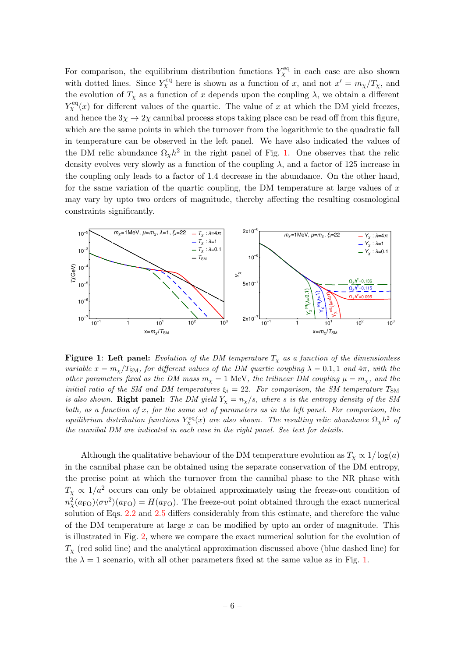For comparison, the equilibrium distribution functions  $Y_{\chi}^{\text{eq}}$  in each case are also shown with dotted lines. Since  $Y_{\chi}^{\text{eq}}$  here is shown as a function of x, and not  $x' = m_{\chi}/T_{\chi}$ , and the evolution of  $T_\chi$  as a function of x depends upon the coupling  $\lambda$ , we obtain a different  $Y_{\chi}^{\text{eq}}(x)$  for different values of the quartic. The value of x at which the DM yield freezes, and hence the  $3\chi \rightarrow 2\chi$  cannibal process stops taking place can be read off from this figure, which are the same points in which the turnover from the logarithmic to the quadratic fall in temperature can be observed in the left panel. We have also indicated the values of the DM relic abundance  $\Omega_{\chi} h^2$  in the right panel of Fig. [1.](#page-6-0) One observes that the relic density evolves very slowly as a function of the coupling  $\lambda$ , and a factor of 125 increase in the coupling only leads to a factor of 1.4 decrease in the abundance. On the other hand, for the same variation of the quartic coupling, the DM temperature at large values of  $x$ may vary by upto two orders of magnitude, thereby affecting the resulting cosmological constraints significantly.

<span id="page-6-0"></span>

**Figure 1:** Left panel: Evolution of the DM temperature  $T<sub>x</sub>$  as a function of the dimensionless variable  $x = m_x/T_{SM}$ , for different values of the DM quartic coupling  $\lambda = 0.1, 1$  and  $4\pi$ , with the other parameters fixed as the DM mass  $m_{\chi} = 1$  MeV, the trilinear DM coupling  $\mu = m_{\chi}$ , and the initial ratio of the SM and DM temperatures  $\xi_i = 22$ . For comparison, the SM temperature  $T_{SM}$ is also shown. Right panel: The DM yield  $Y_x = n_x/s$ , where s is the entropy density of the SM bath, as a function of x, for the same set of parameters as in the left panel. For comparison, the equilibrium distribution functions  $Y_\chi^{\text{eq}}(x)$  are also shown. The resulting relic abundance  $\Omega_\chi h^2$  of the cannibal DM are indicated in each case in the right panel. See text for details.

Although the qualitative behaviour of the DM temperature evolution as  $T_\chi \propto 1/\log(a)$ in the cannibal phase can be obtained using the separate conservation of the DM entropy, the precise point at which the turnover from the cannibal phase to the NR phase with  $T_\chi \propto 1/a^2$  occurs can only be obtained approximately using the freeze-out condition of  $m_{\chi}^2(a_{\rm FO})\langle\sigma v^2\rangle(a_{\rm FO}) = H(a_{\rm FO})$ . The freeze-out point obtained through the exact numerical solution of Eqs. [2.2](#page-3-1) and [2.5](#page-3-2) differs considerably from this estimate, and therefore the value of the DM temperature at large  $x$  can be modified by upto an order of magnitude. This is illustrated in Fig. [2,](#page-7-1) where we compare the exact numerical solution for the evolution of  $T_{\chi}$  (red solid line) and the analytical approximation discussed above (blue dashed line) for the  $\lambda = 1$  scenario, with all other parameters fixed at the same value as in Fig. [1.](#page-6-0)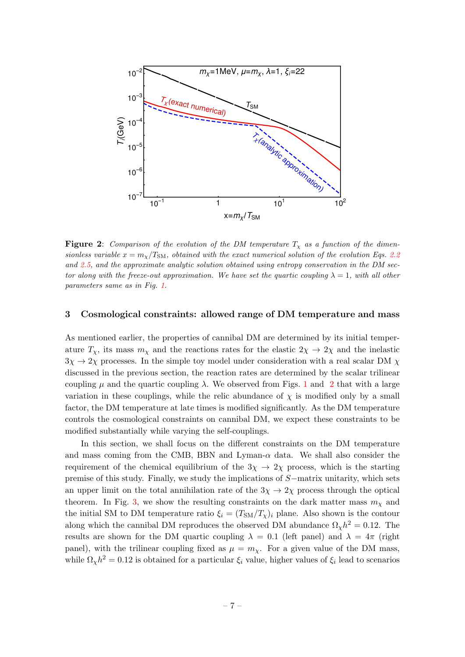<span id="page-7-1"></span>

**Figure 2:** Comparison of the evolution of the DM temperature  $T<sub>x</sub>$  as a function of the dimensionless variable  $x = m_\chi/T_{\rm SM}$ , obtained with the exact numerical solution of the evolution Eqs. [2.2](#page-3-1) and [2.5,](#page-3-2) and the approximate analytic solution obtained using entropy conservation in the DM sector along with the freeze-out approximation. We have set the quartic coupling  $\lambda = 1$ , with all other parameters same as in Fig. [1.](#page-6-0)

## <span id="page-7-0"></span>3 Cosmological constraints: allowed range of DM temperature and mass

As mentioned earlier, the properties of cannibal DM are determined by its initial temperature  $T_\chi$ , its mass  $m_\chi$  and the reactions rates for the elastic  $2\chi \to 2\chi$  and the inelastic  $3\chi \rightarrow 2\chi$  processes. In the simple toy model under consideration with a real scalar DM  $\chi$ discussed in the previous section, the reaction rates are determined by the scalar trilinear coupling  $\mu$  and the quartic coupling  $\lambda$ . We observed from Figs. [1](#page-6-0) and [2](#page-7-1) that with a large variation in these couplings, while the relic abundance of  $\chi$  is modified only by a small factor, the DM temperature at late times is modified significantly. As the DM temperature controls the cosmological constraints on cannibal DM, we expect these constraints to be modified substantially while varying the self-couplings.

In this section, we shall focus on the different constraints on the DM temperature and mass coming from the CMB, BBN and Lyman- $\alpha$  data. We shall also consider the requirement of the chemical equilibrium of the  $3\chi \rightarrow 2\chi$  process, which is the starting premise of this study. Finally, we study the implications of S−matrix unitarity, which sets an upper limit on the total annihilation rate of the  $3\chi \rightarrow 2\chi$  process through the optical theorem. In Fig. [3,](#page-8-0) we show the resulting constraints on the dark matter mass  $m<sub>\chi</sub>$  and the initial SM to DM temperature ratio  $\xi_i = (T_{\rm SM}/T_{\chi})_i$  plane. Also shown is the contour along which the cannibal DM reproduces the observed DM abundance  $\Omega_{\chi} h^2 = 0.12$ . The results are shown for the DM quartic coupling  $\lambda = 0.1$  (left panel) and  $\lambda = 4\pi$  (right panel), with the trilinear coupling fixed as  $\mu = m_{\chi}$ . For a given value of the DM mass, while  $\Omega_{\chi} h^2 = 0.12$  is obtained for a particular  $\xi_i$  value, higher values of  $\xi_i$  lead to scenarios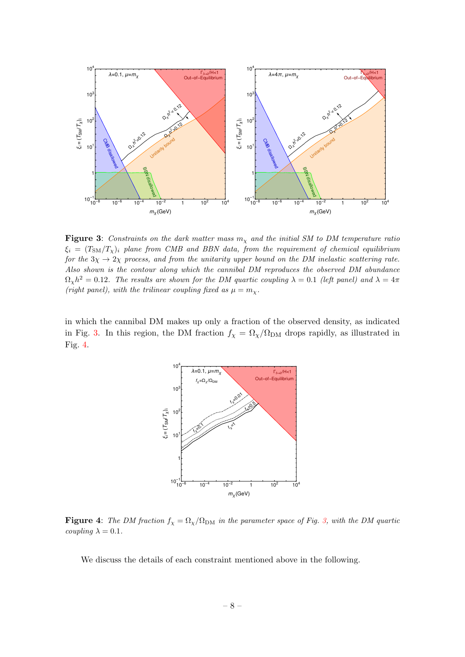<span id="page-8-0"></span>

Figure 3: Constraints on the dark matter mass  $m<sub>x</sub>$  and the initial SM to DM temperature ratio  $\xi_i = (T_{\text{SM}}/T_{\chi})_i$  plane from CMB and BBN data, from the requirement of chemical equilibrium for the  $3\chi \rightarrow 2\chi$  process, and from the unitarity upper bound on the DM inelastic scattering rate. Also shown is the contour along which the cannibal DM reproduces the observed DM abundance  $\Omega_{\chi}h^2 = 0.12$ . The results are shown for the DM quartic coupling  $\lambda = 0.1$  (left panel) and  $\lambda = 4\pi$ (right panel), with the trilinear coupling fixed as  $\mu = m_{\chi}$ .

<span id="page-8-1"></span>in which the cannibal DM makes up only a fraction of the observed density, as indicated in Fig. [3.](#page-8-0) In this region, the DM fraction  $f_{\chi} = \Omega_{\chi}/\Omega_{\text{DM}}$  drops rapidly, as illustrated in Fig. [4.](#page-8-1)



**Figure 4:** The DM fraction  $f_{\chi} = \Omega_{\chi}/\Omega_{DM}$  in the parameter space of Fig. [3,](#page-8-0) with the DM quartic  $coupling \ \lambda = 0.1.$ 

We discuss the details of each constraint mentioned above in the following.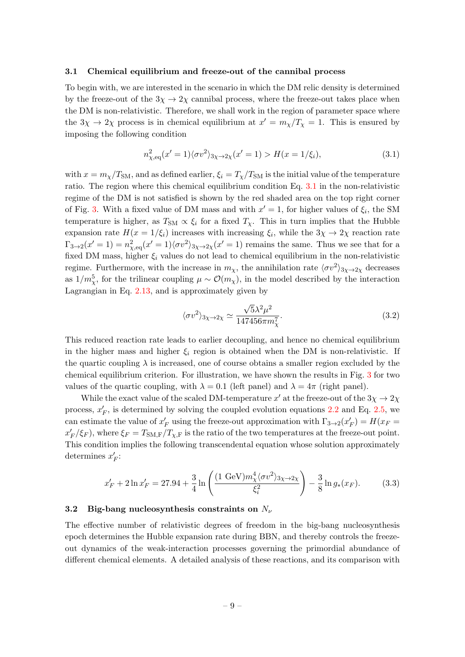## <span id="page-9-0"></span>3.1 Chemical equilibrium and freeze-out of the cannibal process

To begin with, we are interested in the scenario in which the DM relic density is determined by the freeze-out of the  $3\chi \rightarrow 2\chi$  cannibal process, where the freeze-out takes place when the DM is non-relativistic. Therefore, we shall work in the region of parameter space where the  $3\chi \to 2\chi$  process is in chemical equilibrium at  $x' = m_\chi/T_\chi = 1$ . This is ensured by imposing the following condition

<span id="page-9-2"></span>
$$
n_{\chi,\text{eq}}^2(x'=1)\langle\sigma v^2\rangle_{3\chi\to 2\chi}(x'=1) > H(x=1/\xi_i),\tag{3.1}
$$

with  $x = m_\chi/T_{\text{SM}}$ , and as defined earlier,  $\xi_i = T_\chi/T_{\text{SM}}$  is the initial value of the temperature ratio. The region where this chemical equilibrium condition Eq. [3.1](#page-9-2) in the non-relativistic regime of the DM is not satisfied is shown by the red shaded area on the top right corner of Fig. [3.](#page-8-0) With a fixed value of DM mass and with  $x' = 1$ , for higher values of  $\xi_i$ , the SM temperature is higher, as  $T_{SM} \propto \xi_i$  for a fixed  $T_{\chi}$ . This in turn implies that the Hubble expansion rate  $H(x = 1/\xi_i)$  increases with increasing  $\xi_i$ , while the  $3\chi \to 2\chi$  reaction rate  $\Gamma_{3\to 2}(x'=1) = n_{\chi,\text{eq}}^2(x'=1)\langle \sigma v^2 \rangle_{3\chi\to 2\chi}(x'=1)$  remains the same. Thus we see that for a fixed DM mass, higher  $\xi_i$  values do not lead to chemical equilibrium in the non-relativistic regime. Furthermore, with the increase in  $m_{\chi}$ , the annihilation rate  $\langle \sigma v^2 \rangle_{3\chi \to 2\chi}$  decreases as  $1/m_{\chi}^{5}$ , for the trilinear coupling  $\mu \sim \mathcal{O}(m_{\chi})$ , in the model described by the interaction Lagrangian in Eq. [2.13,](#page-5-1) and is approximately given by

$$
\langle \sigma v^2 \rangle_{3\chi \to 2\chi} \simeq \frac{\sqrt{5}\lambda^2 \mu^2}{147456\pi m_\chi^7}.
$$
\n(3.2)

This reduced reaction rate leads to earlier decoupling, and hence no chemical equilibrium in the higher mass and higher  $\xi_i$  region is obtained when the DM is non-relativistic. If the quartic coupling  $\lambda$  is increased, one of course obtains a smaller region excluded by the chemical equilibrium criterion. For illustration, we have shown the results in Fig. [3](#page-8-0) for two values of the quartic coupling, with  $\lambda = 0.1$  (left panel) and  $\lambda = 4\pi$  (right panel).

While the exact value of the scaled DM-temperature  $x'$  at the freeze-out of the  $3\chi \rightarrow 2\chi$ process,  $x'_{F}$ , is determined by solving the coupled evolution equations [2.2](#page-3-1) and Eq. [2.5,](#page-3-2) we can estimate the value of  $x_F'$  using the freeze-out approximation with  $\Gamma_{3\to 2}(x_F') = H(x_F = 0)$  $x_F'/\xi_F$ ), where  $\xi_F = T_{\text{SM,F}}/T_{\chi,\text{F}}$  is the ratio of the two temperatures at the freeze-out point. This condition implies the following transcendental equation whose solution approximately determines  $x'_F$ :

$$
x'_{F} + 2\ln x'_{F} = 27.94 + \frac{3}{4}\ln\left(\frac{(1 \text{ GeV})m_{\chi}^{4} \langle \sigma v^{2} \rangle_{3\chi \to 2\chi}}{\xi_{i}^{2}}\right) - \frac{3}{8}\ln g_{*}(x_{F}).
$$
 (3.3)

#### <span id="page-9-1"></span>3.2 Big-bang nucleosynthesis constraints on  $N_{\nu}$

The effective number of relativistic degrees of freedom in the big-bang nucleosynthesis epoch determines the Hubble expansion rate during BBN, and thereby controls the freezeout dynamics of the weak-interaction processes governing the primordial abundance of different chemical elements. A detailed analysis of these reactions, and its comparison with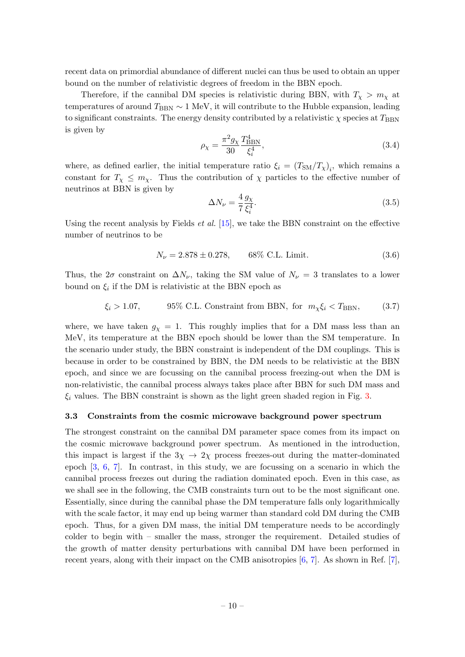recent data on primordial abundance of different nuclei can thus be used to obtain an upper bound on the number of relativistic degrees of freedom in the BBN epoch.

Therefore, if the cannibal DM species is relativistic during BBN, with  $T_{\chi} > m_{\chi}$  at temperatures of around  $T_{\text{BBN}} \sim 1 \text{ MeV}$ , it will contribute to the Hubble expansion, leading to significant constraints. The energy density contributed by a relativistic  $\chi$  species at  $T_{\rm BBN}$ is given by

$$
\rho_{\chi} = \frac{\pi^2 g_{\chi}}{30} \frac{T_{\rm BBN}^4}{\xi_i^4},\tag{3.4}
$$

where, as defined earlier, the initial temperature ratio  $\xi_i = (T_{SM}/T_{\chi})_i$ , which remains a constant for  $T_\chi \leq m_\chi$ . Thus the contribution of  $\chi$  particles to the effective number of neutrinos at BBN is given by

$$
\Delta N_{\nu} = \frac{4}{7} \frac{g_{\chi}}{\xi_i^4}.
$$
\n(3.5)

Using the recent analysis by Fields *et al.* [\[15\]](#page-18-3), we take the BBN constraint on the effective number of neutrinos to be

$$
N_{\nu} = 2.878 \pm 0.278, \qquad 68\% \text{ C.L. Limit.} \tag{3.6}
$$

Thus, the  $2\sigma$  constraint on  $\Delta N_{\nu}$ , taking the SM value of  $N_{\nu} = 3$  translates to a lower bound on  $\xi_i$  if the DM is relativistic at the BBN epoch as

$$
\xi_i > 1.07
$$
, 95% C.L. Constraint from BBN, for  $m_\chi \xi_i < T_{\text{BBN}}$ , (3.7)

where, we have taken  $g_{\chi} = 1$ . This roughly implies that for a DM mass less than an MeV, its temperature at the BBN epoch should be lower than the SM temperature. In the scenario under study, the BBN constraint is independent of the DM couplings. This is because in order to be constrained by BBN, the DM needs to be relativistic at the BBN epoch, and since we are focussing on the cannibal process freezing-out when the DM is non-relativistic, the cannibal process always takes place after BBN for such DM mass and  $\xi_i$  values. The BBN constraint is shown as the light green shaded region in Fig. [3.](#page-8-0)

#### <span id="page-10-0"></span>3.3 Constraints from the cosmic microwave background power spectrum

The strongest constraint on the cannibal DM parameter space comes from its impact on the cosmic microwave background power spectrum. As mentioned in the introduction, this impact is largest if the  $3\chi \rightarrow 2\chi$  process freezes-out during the matter-dominated epoch [\[3,](#page-17-2) [6,](#page-17-4) [7\]](#page-17-5). In contrast, in this study, we are focussing on a scenario in which the cannibal process freezes out during the radiation dominated epoch. Even in this case, as we shall see in the following, the CMB constraints turn out to be the most significant one. Essentially, since during the cannibal phase the DM temperature falls only logarithmically with the scale factor, it may end up being warmer than standard cold DM during the CMB epoch. Thus, for a given DM mass, the initial DM temperature needs to be accordingly colder to begin with – smaller the mass, stronger the requirement. Detailed studies of the growth of matter density perturbations with cannibal DM have been performed in recent years, along with their impact on the CMB anisotropies  $[6, 7]$  $[6, 7]$ . As shown in Ref. [\[7\]](#page-17-5),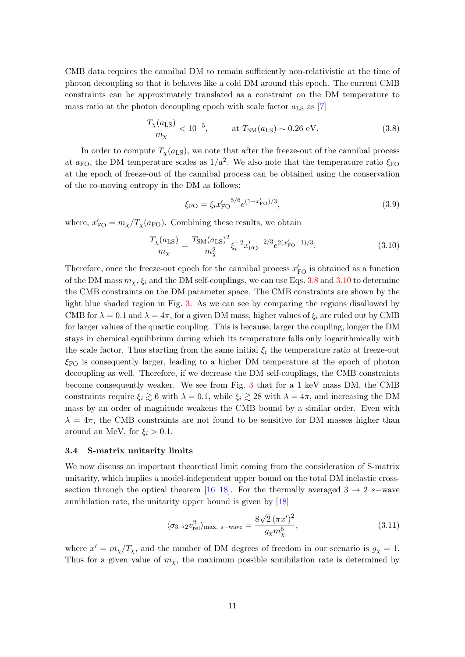CMB data requires the cannibal DM to remain sufficiently non-relativistic at the time of photon decoupling so that it behaves like a cold DM around this epoch. The current CMB constraints can be approximately translated as a constraint on the DM temperature to mass ratio at the photon decoupling epoch with scale factor  $a_{LS}$  as [\[7\]](#page-17-5)

<span id="page-11-1"></span>
$$
\frac{T_X(a_{\text{LS}})}{m_X} < 10^{-5}, \qquad \text{at } T_{\text{SM}}(a_{\text{LS}}) \sim 0.26 \text{ eV}.\tag{3.8}
$$

In order to compute  $T_{\chi}(a_{\text{LS}})$ , we note that after the freeze-out of the cannibal process at  $a_{\rm FO}$ , the DM temperature scales as  $1/a^2$ . We also note that the temperature ratio  $\xi_{\rm FO}$ at the epoch of freeze-out of the cannibal process can be obtained using the conservation of the co-moving entropy in the DM as follows:

$$
\xi_{\rm FO} = \xi_i x_{\rm FO}'^{5/6} e^{(1-x_{\rm FO}')/3},\tag{3.9}
$$

where,  $x'_{\text{FO}} = m_{\chi}/T_{\chi}(a_{\text{FO}})$ . Combining these results, we obtain

<span id="page-11-2"></span>
$$
\frac{T_X(a_{\text{LS}})}{m_X} = \frac{T_{\text{SM}}(a_{\text{LS}})^2}{m_X^2} \xi_i^{-2} x_{\text{FO}}' - \frac{2}{3} e^{2(x_{\text{FO}}' - 1)/3}.
$$
\n(3.10)

Therefore, once the freeze-out epoch for the cannibal process  $x'_{\rm FO}$  is obtained as a function of the DM mass  $m_{\chi}$ ,  $\xi_i$  and the DM self-couplings, we can use Eqs. [3.8](#page-11-1) and [3.10](#page-11-2) to determine the CMB constraints on the DM parameter space. The CMB constraints are shown by the light blue shaded region in Fig. [3.](#page-8-0) As we can see by comparing the regions disallowed by CMB for  $\lambda = 0.1$  and  $\lambda = 4\pi$ , for a given DM mass, higher values of  $\xi_i$  are ruled out by CMB for larger values of the quartic coupling. This is because, larger the coupling, longer the DM stays in chemical equilibrium during which its temperature falls only logarithmically with the scale factor. Thus starting from the same initial  $\xi_i$  the temperature ratio at freeze-out  $\xi_{\rm FO}$  is consequently larger, leading to a higher DM temperature at the epoch of photon decoupling as well. Therefore, if we decrease the DM self-couplings, the CMB constraints become consequently weaker. We see from Fig. [3](#page-8-0) that for a 1 keV mass DM, the CMB constraints require  $\xi_i \gtrsim 6$  with  $\lambda = 0.1$ , while  $\xi_i \gtrsim 28$  with  $\lambda = 4\pi$ , and increasing the DM mass by an order of magnitude weakens the CMB bound by a similar order. Even with  $\lambda = 4\pi$ , the CMB constraints are not found to be sensitive for DM masses higher than around an MeV, for  $\xi_i > 0.1$ .

#### <span id="page-11-0"></span>3.4 S-matrix unitarity limits

We now discuss an important theoretical limit coming from the consideration of S-matrix unitarity, which implies a model-independent upper bound on the total DM inelastic cross-section through the optical theorem [\[16](#page-18-4)[–18\]](#page-18-5). For the thermally averaged  $3 \rightarrow 2$  s−wave annihilation rate, the unitarity upper bound is given by [\[18\]](#page-18-5)

<span id="page-11-3"></span>
$$
\langle \sigma_{3\to 2} v_{\text{rel}}^2 \rangle_{\text{max, s-wave}} = \frac{8\sqrt{2} (\pi x')^2}{g_\chi m_\chi^5},\tag{3.11}
$$

where  $x' = m_\chi/T_\chi$ , and the number of DM degrees of freedom in our scenario is  $g_\chi = 1$ . Thus for a given value of  $m<sub>x</sub>$ , the maximum possible annihilation rate is determined by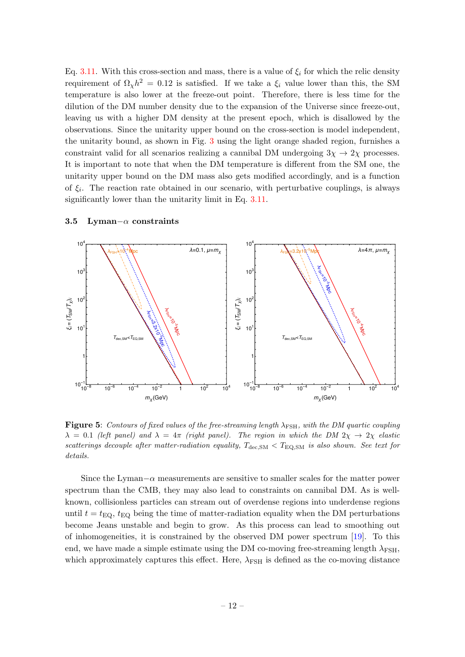Eq. [3.11.](#page-11-3) With this cross-section and mass, there is a value of  $\xi_i$  for which the relic density requirement of  $\Omega_{\chi} h^2 = 0.12$  is satisfied. If we take a  $\xi_i$  value lower than this, the SM temperature is also lower at the freeze-out point. Therefore, there is less time for the dilution of the DM number density due to the expansion of the Universe since freeze-out, leaving us with a higher DM density at the present epoch, which is disallowed by the observations. Since the unitarity upper bound on the cross-section is model independent, the unitarity bound, as shown in Fig. [3](#page-8-0) using the light orange shaded region, furnishes a constraint valid for all scenarios realizing a cannibal DM undergoing  $3\chi \rightarrow 2\chi$  processes. It is important to note that when the DM temperature is different from the SM one, the unitarity upper bound on the DM mass also gets modified accordingly, and is a function of  $\xi_i$ . The reaction rate obtained in our scenario, with perturbative couplings, is always significantly lower than the unitarity limit in Eq. [3.11.](#page-11-3)

<span id="page-12-1"></span>

#### <span id="page-12-0"></span>3.5 Lyman– $\alpha$  constraints

Figure 5: Contours of fixed values of the free-streaming length  $\lambda_{\text{FSH}}$ , with the DM quartic coupling  $\lambda = 0.1$  (left panel) and  $\lambda = 4\pi$  (right panel). The region in which the DM  $2\chi \rightarrow 2\chi$  elastic scatterings decouple after matter-radiation equality,  $T_{\text{dec,SM}} < T_{\text{EQ,SM}}$  is also shown. See text for details.

Since the Lyman $-\alpha$  measurements are sensitive to smaller scales for the matter power spectrum than the CMB, they may also lead to constraints on cannibal DM. As is wellknown, collisionless particles can stream out of overdense regions into underdense regions until  $t = t_{EQ}$ ,  $t_{EQ}$  being the time of matter-radiation equality when the DM perturbations become Jeans unstable and begin to grow. As this process can lead to smoothing out of inhomogeneities, it is constrained by the observed DM power spectrum [\[19\]](#page-18-6). To this end, we have made a simple estimate using the DM co-moving free-streaming length  $\lambda_{\text{FSH}}$ , which approximately captures this effect. Here,  $\lambda_{\text{FSH}}$  is defined as the co-moving distance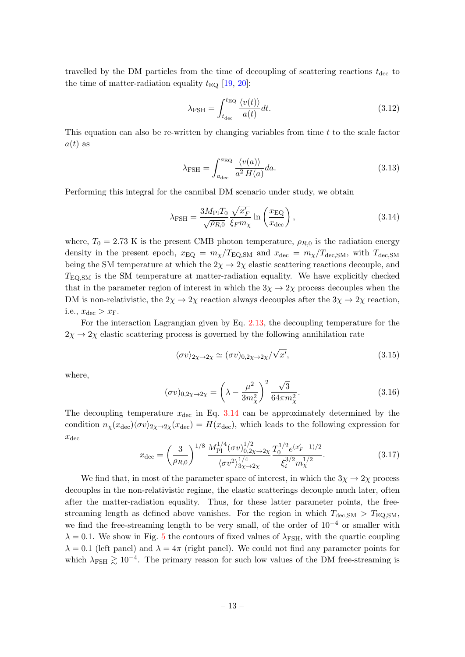travelled by the DM particles from the time of decoupling of scattering reactions  $t_{\text{dec}}$  to the time of matter-radiation equality  $t_{\text{EQ}}$  [\[19,](#page-18-6) [20\]](#page-18-7):

$$
\lambda_{\text{FSH}} = \int_{t_{\text{dec}}}^{t_{\text{EQ}}} \frac{\langle v(t) \rangle}{a(t)} dt.
$$
\n(3.12)

This equation can also be re-written by changing variables from time  $t$  to the scale factor  $a(t)$  as

$$
\lambda_{\text{FSH}} = \int_{a_{\text{dec}}}^{a_{\text{EQ}}} \frac{\langle v(a) \rangle}{a^2 H(a)} da. \tag{3.13}
$$

Performing this integral for the cannibal DM scenario under study, we obtain

<span id="page-13-0"></span>
$$
\lambda_{\rm FSH} = \frac{3M_{\rm Pl}T_0}{\sqrt{\rho_{R,0}}} \frac{\sqrt{x_F'}}{\xi_F m_\chi} \ln\left(\frac{x_{\rm EQ}}{x_{\rm dec}}\right),\tag{3.14}
$$

where,  $T_0 = 2.73$  K is the present CMB photon temperature,  $\rho_{R,0}$  is the radiation energy density in the present epoch,  $x_{\text{EQ}} = m_{\chi}/T_{\text{EQ,SM}}$  and  $x_{\text{dec}} = m_{\chi}/T_{\text{dec,SM}}$ , with  $T_{\text{dec,SM}}$ being the SM temperature at which the  $2\chi \rightarrow 2\chi$  elastic scattering reactions decouple, and  $T_{\text{EO,SM}}$  is the SM temperature at matter-radiation equality. We have explicitly checked that in the parameter region of interest in which the  $3\chi \rightarrow 2\chi$  process decouples when the DM is non-relativistic, the  $2\chi \to 2\chi$  reaction always decouples after the  $3\chi \to 2\chi$  reaction, i.e.,  $x_{\text{dec}} > x_{\text{F}}$ .

For the interaction Lagrangian given by Eq. [2.13,](#page-5-1) the decoupling temperature for the  $2\chi \rightarrow 2\chi$  elastic scattering process is governed by the following annihilation rate

$$
\langle \sigma v \rangle_{2\chi \to 2\chi} \simeq (\sigma v)_{0,2\chi \to 2\chi}/\sqrt{x'}, \tag{3.15}
$$

where,

$$
(\sigma v)_{0,2\chi \to 2\chi} = \left(\lambda - \frac{\mu^2}{3m_\chi^2}\right)^2 \frac{\sqrt{3}}{64\pi m_\chi^2}.
$$
 (3.16)

The decoupling temperature  $x_{\text{dec}}$  in Eq. [3.14](#page-13-0) can be approximately determined by the condition  $n_{\chi}(x_{\text{dec}})\langle \sigma v \rangle_{2\chi \to 2\chi}(x_{\text{dec}}) = H(x_{\text{dec}})$ , which leads to the following expression for  $x_{\text{dec}}$ 

$$
x_{\rm dec} = \left(\frac{3}{\rho_{R,0}}\right)^{1/8} \frac{M_{\rm Pl}^{1/4}(\sigma v)_{0,2\chi \to 2\chi}^{1/2}}{\langle \sigma v^2 \rangle_{3\chi \to 2\chi}^{1/4}} \frac{T_0^{1/2} e^{(x'_F - 1)/2}}{\xi_i^{3/2} m_\chi^{1/2}}.
$$
(3.17)

We find that, in most of the parameter space of interest, in which the  $3\chi \rightarrow 2\chi$  process decouples in the non-relativistic regime, the elastic scatterings decouple much later, often after the matter-radiation equality. Thus, for these latter parameter points, the freestreaming length as defined above vanishes. For the region in which  $T_{\text{dec,SM}} > T_{\text{EQ,SM}}$ , we find the free-streaming length to be very small, of the order of  $10^{-4}$  or smaller with  $\lambda = 0.1$ . We show in Fig. [5](#page-12-1) the contours of fixed values of  $\lambda_{\text{FSH}}$ , with the quartic coupling  $\lambda = 0.1$  (left panel) and  $\lambda = 4\pi$  (right panel). We could not find any parameter points for which  $\lambda_{\text{FSH}} \gtrsim 10^{-4}$ . The primary reason for such low values of the DM free-streaming is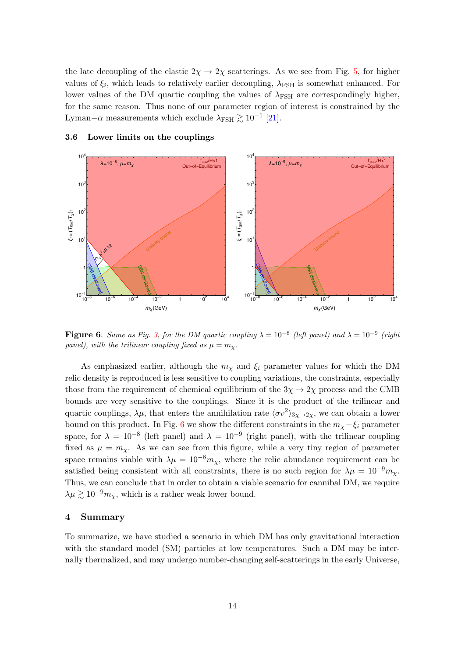the late decoupling of the elastic  $2\chi \rightarrow 2\chi$  scatterings. As we see from Fig. [5,](#page-12-1) for higher values of  $\xi_i$ , which leads to relatively earlier decoupling,  $\lambda_{\text{FSH}}$  is somewhat enhanced. For lower values of the DM quartic coupling the values of  $\lambda_{\text{FSH}}$  are correspondingly higher, for the same reason. Thus none of our parameter region of interest is constrained by the Lyman– $\alpha$  measurements which exclude  $\lambda_{\text{FSH}} \gtrsim 10^{-1}$  [\[21\]](#page-18-8).

<span id="page-14-2"></span>

#### <span id="page-14-0"></span>3.6 Lower limits on the couplings

**Figure 6:** Same as Fig. [3,](#page-8-0) for the DM quartic coupling  $\lambda = 10^{-8}$  (left panel) and  $\lambda = 10^{-9}$  (right panel), with the trilinear coupling fixed as  $\mu = m_{\chi}$ .

As emphasized earlier, although the  $m<sub>x</sub>$  and  $\xi<sub>i</sub>$  parameter values for which the DM relic density is reproduced is less sensitive to coupling variations, the constraints, especially those from the requirement of chemical equilibrium of the  $3\chi \rightarrow 2\chi$  process and the CMB bounds are very sensitive to the couplings. Since it is the product of the trilinear and quartic couplings,  $\lambda \mu$ , that enters the annihilation rate  $\langle \sigma v^2 \rangle_{3\chi \to 2\chi}$ , we can obtain a lower bound on this product. In Fig. [6](#page-14-2) we show the different constraints in the  $m<sub>χ</sub> - ξ<sub>i</sub>$  parameter space, for  $\lambda = 10^{-8}$  (left panel) and  $\lambda = 10^{-9}$  (right panel), with the trilinear coupling fixed as  $\mu = m_{\gamma}$ . As we can see from this figure, while a very tiny region of parameter space remains viable with  $\lambda \mu = 10^{-8} m_{\chi}$ , where the relic abundance requirement can be satisfied being consistent with all constraints, there is no such region for  $\lambda \mu = 10^{-9} m_{\chi}$ . Thus, we can conclude that in order to obtain a viable scenario for cannibal DM, we require  $\lambda \mu \gtrsim 10^{-9} m_{\chi}$ , which is a rather weak lower bound.

### <span id="page-14-1"></span>4 Summary

To summarize, we have studied a scenario in which DM has only gravitational interaction with the standard model (SM) particles at low temperatures. Such a DM may be internally thermalized, and may undergo number-changing self-scatterings in the early Universe,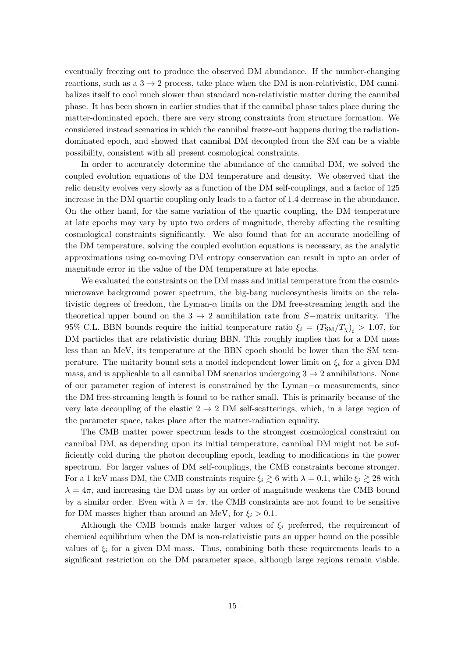eventually freezing out to produce the observed DM abundance. If the number-changing reactions, such as a  $3 \rightarrow 2$  process, take place when the DM is non-relativistic, DM cannibalizes itself to cool much slower than standard non-relativistic matter during the cannibal phase. It has been shown in earlier studies that if the cannibal phase takes place during the matter-dominated epoch, there are very strong constraints from structure formation. We considered instead scenarios in which the cannibal freeze-out happens during the radiationdominated epoch, and showed that cannibal DM decoupled from the SM can be a viable possibility, consistent with all present cosmological constraints.

In order to accurately determine the abundance of the cannibal DM, we solved the coupled evolution equations of the DM temperature and density. We observed that the relic density evolves very slowly as a function of the DM self-couplings, and a factor of 125 increase in the DM quartic coupling only leads to a factor of 1.4 decrease in the abundance. On the other hand, for the same variation of the quartic coupling, the DM temperature at late epochs may vary by upto two orders of magnitude, thereby affecting the resulting cosmological constraints significantly. We also found that for an accurate modelling of the DM temperature, solving the coupled evolution equations is necessary, as the analytic approximations using co-moving DM entropy conservation can result in upto an order of magnitude error in the value of the DM temperature at late epochs.

We evaluated the constraints on the DM mass and initial temperature from the cosmicmicrowave background power spectrum, the big-bang nucleosynthesis limits on the relativistic degrees of freedom, the Lyman- $\alpha$  limits on the DM free-streaming length and the theoretical upper bound on the 3  $\rightarrow$  2 annihilation rate from S−matrix unitarity. The 95% C.L. BBN bounds require the initial temperature ratio  $\xi_i = (T_{\rm SM}/T_{\chi})_i > 1.07$ , for DM particles that are relativistic during BBN. This roughly implies that for a DM mass less than an MeV, its temperature at the BBN epoch should be lower than the SM temperature. The unitarity bound sets a model independent lower limit on  $\xi_i$  for a given DM mass, and is applicable to all cannibal DM scenarios undergoing  $3 \rightarrow 2$  annihilations. None of our parameter region of interest is constrained by the Lyman $-\alpha$  measurements, since the DM free-streaming length is found to be rather small. This is primarily because of the very late decoupling of the elastic  $2 \rightarrow 2$  DM self-scatterings, which, in a large region of the parameter space, takes place after the matter-radiation equality.

The CMB matter power spectrum leads to the strongest cosmological constraint on cannibal DM, as depending upon its initial temperature, cannibal DM might not be sufficiently cold during the photon decoupling epoch, leading to modifications in the power spectrum. For larger values of DM self-couplings, the CMB constraints become stronger. For a 1 keV mass DM, the CMB constraints require  $\xi_i \gtrsim 6$  with  $\lambda = 0.1$ , while  $\xi_i \gtrsim 28$  with  $\lambda = 4\pi$ , and increasing the DM mass by an order of magnitude weakens the CMB bound by a similar order. Even with  $\lambda = 4\pi$ , the CMB constraints are not found to be sensitive for DM masses higher than around an MeV, for  $\xi_i > 0.1$ .

Although the CMB bounds make larger values of  $\xi_i$  preferred, the requirement of chemical equilibrium when the DM is non-relativistic puts an upper bound on the possible values of  $\xi_i$  for a given DM mass. Thus, combining both these requirements leads to a significant restriction on the DM parameter space, although large regions remain viable.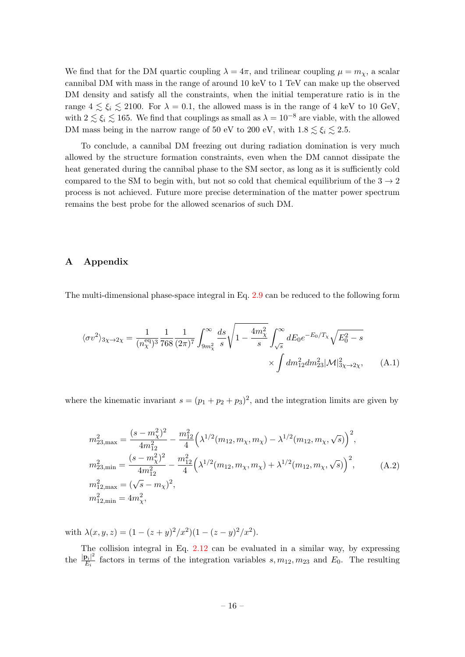We find that for the DM quartic coupling  $\lambda = 4\pi$ , and trilinear coupling  $\mu = m_{\chi}$ , a scalar cannibal DM with mass in the range of around 10 keV to 1 TeV can make up the observed DM density and satisfy all the constraints, when the initial temperature ratio is in the range  $4 \lesssim \xi_i \lesssim 2100$ . For  $\lambda = 0.1$ , the allowed mass is in the range of 4 keV to 10 GeV, with  $2 \lesssim \xi_i \lesssim 165$ . We find that couplings as small as  $\lambda = 10^{-8}$  are viable, with the allowed DM mass being in the narrow range of 50 eV to 200 eV, with  $1.8 \lesssim \xi_i \lesssim 2.5$ .

To conclude, a cannibal DM freezing out during radiation domination is very much allowed by the structure formation constraints, even when the DM cannot dissipate the heat generated during the cannibal phase to the SM sector, as long as it is sufficiently cold compared to the SM to begin with, but not so cold that chemical equilibrium of the  $3 \rightarrow 2$ process is not achieved. Future more precise determination of the matter power spectrum remains the best probe for the allowed scenarios of such DM.

## <span id="page-16-0"></span>A Appendix

The multi-dimensional phase-space integral in Eq. [2.9](#page-4-1) can be reduced to the following form

$$
\langle \sigma v^2 \rangle_{3\chi \to 2\chi} = \frac{1}{(n_{\chi}^{\text{eq}})^3} \frac{1}{768} \frac{1}{(2\pi)^7} \int_{9m_{\chi}^2}^{\infty} \frac{ds}{s} \sqrt{1 - \frac{4m_{\chi}^2}{s}} \int_{\sqrt{s}}^{\infty} dE_0 e^{-E_0/T_{\chi}} \sqrt{E_0^2 - s} \times \int dm_{12}^2 dm_{23}^2 |\mathcal{M}|_{3\chi \to 2\chi}^2, \tag{A.1}
$$

where the kinematic invariant  $s = (p_1 + p_2 + p_3)^2$ , and the integration limits are given by

$$
m_{23,\text{max}}^2 = \frac{(s - m_\chi^2)^2}{4m_{12}^2} - \frac{m_{12}^2}{4} \left( \lambda^{1/2} (m_{12}, m_\chi, m_\chi) - \lambda^{1/2} (m_{12}, m_\chi, \sqrt{s}) \right)^2,
$$
  
\n
$$
m_{23,\text{min}}^2 = \frac{(s - m_\chi^2)^2}{4m_{12}^2} - \frac{m_{12}^2}{4} \left( \lambda^{1/2} (m_{12}, m_\chi, m_\chi) + \lambda^{1/2} (m_{12}, m_\chi, \sqrt{s}) \right)^2,
$$
  
\n
$$
m_{12,\text{max}}^2 = (\sqrt{s} - m_\chi)^2,
$$
  
\n
$$
m_{12,\text{min}}^2 = 4m_\chi^2,
$$
\n(A.2)

with  $\lambda(x, y, z) = (1 - (z + y)^2/x^2)(1 - (z - y)^2/x^2)$ .

The collision integral in Eq. [2.12](#page-4-3) can be evaluated in a similar way, by expressing the  $\frac{|\mathbf{p}_i|^2}{E}$  $E_i$ <sup>[2<sub>i</sub>]</sub> factors in terms of the integration variables s,  $m_{12}$ ,  $m_{23}$  and  $E_0$ . The resulting</sup>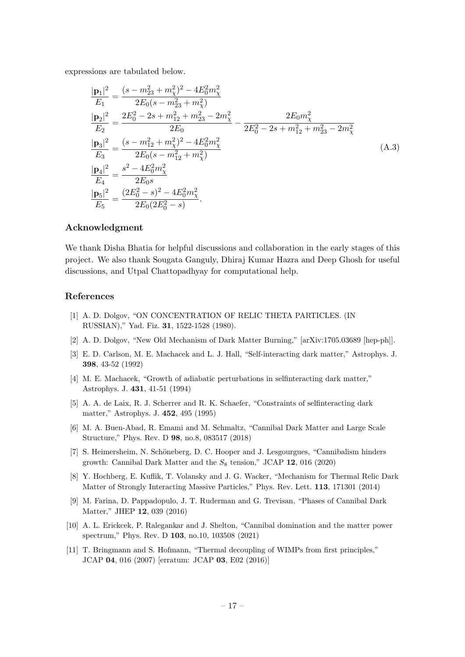expressions are tabulated below.

$$
\frac{|\mathbf{p}_1|^2}{E_1} = \frac{(s - m_{23}^2 + m_{\chi}^2)^2 - 4E_0^2 m_{\chi}^2}{2E_0(s - m_{23}^2 + m_{\chi}^2)}
$$
\n
$$
\frac{|\mathbf{p}_2|^2}{E_2} = \frac{2E_0^2 - 2s + m_{12}^2 + m_{23}^2 - 2m_{\chi}^2}{2E_0} - \frac{2E_0 m_{\chi}^2}{2E_0^2 - 2s + m_{12}^2 + m_{23}^2 - 2m_{\chi}^2}
$$
\n
$$
\frac{|\mathbf{p}_3|^2}{E_3} = \frac{(s - m_{12}^2 + m_{\chi}^2)^2 - 4E_0^2 m_{\chi}^2}{2E_0(s - m_{12}^2 + m_{\chi}^2)}
$$
\n
$$
\frac{|\mathbf{p}_4|^2}{E_4} = \frac{s^2 - 4E_0^2 m_{\chi}^2}{2E_0 s}
$$
\n
$$
\frac{|\mathbf{p}_5|^2}{E_5} = \frac{(2E_0^2 - s)^2 - 4E_0^2 m_{\chi}^2}{2E_0(2E_0^2 - s)}.
$$
\n(A.3)

## Acknowledgment

We thank Disha Bhatia for helpful discussions and collaboration in the early stages of this project. We also thank Sougata Ganguly, Dhiraj Kumar Hazra and Deep Ghosh for useful discussions, and Utpal Chattopadhyay for computational help.

#### References

- <span id="page-17-0"></span>[1] A. D. Dolgov, "ON CONCENTRATION OF RELIC THETA PARTICLES. (IN RUSSIAN)," Yad. Fiz. 31, 1522-1528 (1980).
- <span id="page-17-1"></span>[2] A. D. Dolgov, "New Old Mechanism of Dark Matter Burning," [arXiv:1705.03689 [hep-ph]].
- <span id="page-17-2"></span>[3] E. D. Carlson, M. E. Machacek and L. J. Hall, "Self-interacting dark matter," Astrophys. J. 398, 43-52 (1992)
- [4] M. E. Machacek, "Growth of adiabatic perturbations in selfinteracting dark matter," Astrophys. J. 431, 41-51 (1994)
- <span id="page-17-3"></span>[5] A. A. de Laix, R. J. Scherrer and R. K. Schaefer, "Constraints of selfinteracting dark matter," Astrophys. J. 452, 495 (1995)
- <span id="page-17-4"></span>[6] M. A. Buen-Abad, R. Emami and M. Schmaltz, "Cannibal Dark Matter and Large Scale Structure," Phys. Rev. D 98, no.8, 083517 (2018)
- <span id="page-17-5"></span>[7] S. Heimersheim, N. Schöneberg, D. C. Hooper and J. Lesgourgues, "Cannibalism hinders growth: Cannibal Dark Matter and the  $S_8$  tension," JCAP 12, 016 (2020)
- <span id="page-17-6"></span>[8] Y. Hochberg, E. Kuflik, T. Volansky and J. G. Wacker, "Mechanism for Thermal Relic Dark Matter of Strongly Interacting Massive Particles," Phys. Rev. Lett. 113, 171301 (2014)
- <span id="page-17-7"></span>[9] M. Farina, D. Pappadopulo, J. T. Ruderman and G. Trevisan, "Phases of Cannibal Dark Matter," JHEP 12, 039 (2016)
- <span id="page-17-8"></span>[10] A. L. Erickcek, P. Ralegankar and J. Shelton, "Cannibal domination and the matter power spectrum," Phys. Rev. D 103, no.10, 103508 (2021)
- <span id="page-17-9"></span>[11] T. Bringmann and S. Hofmann, "Thermal decoupling of WIMPs from first principles," JCAP 04, 016 (2007) [erratum: JCAP 03, E02 (2016)]